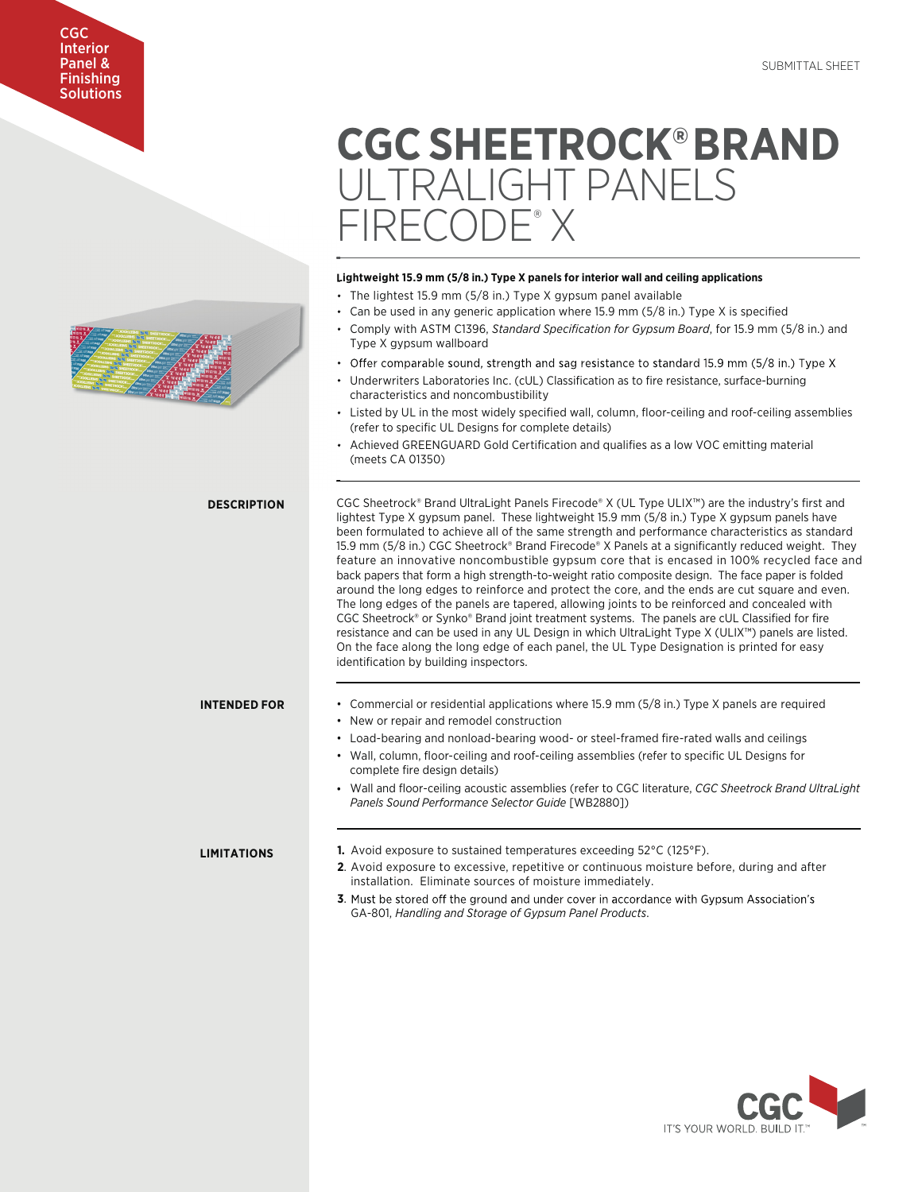# CGC Interior Panel & **Finishing Solutions**

# **CGC SHEETROCK®BRAND** ULTRALIGHT PANELS FIRECODE® X

# **Lightweight 15.9 mm (5/8 in.) Type X panels for interior wall and ceiling applications L** • The lightest 15.9 mm (5/8 in.) Type X gypsum panel available • Can be used in any generic application where 15.9 mm (5/8 in.) Type X is specified • Comply with ASTM C1396, *Standard Specification for Gypsum Board*, for 15.9 mm (5/8 in.) and Type X gypsum wallboard • Achieved GREENGUARD Gold Certification and qualifies as a low VOC emitting material (meets CA 01350) • Offer comparable sound, strength and sag resistance to standard 15.9 mm (5/8 in.) Type X Underwriters Laboratories Inc. (cUL) Classification as to fire resistance, surface-burning characteristics and noncombustibility • Listed by UL in the most widely specified wall, column, floor-ceiling and roof-ceiling assemblies (refer to specific UL Designs for complete details) CGC Sheetrock® Brand UltraLight Panels Firecode® X (UL Type ULIX™) are the industry's first and lightest Type X gypsum panel. These lightweight 15.9 mm (5/8 in.) Type X gypsum panels have been formulated to achieve all of the same strength and performance characteristics as standard 15.9 mm (5/8 in.) CGC Sheetrock® Brand Firecode® X Panels at a significantly reduced weight. They feature an innovative noncombustible gypsum core that is encased in 100% recycled face and back papers that form a high strength-to-weight ratio composite design. The face paper is folded around the long edges to reinforce and protect the core, and the ends are cut square and even. The long edges of the panels are tapered, allowing joints to be reinforced and concealed with CGC Sheetrock® or Synko® Brand joint treatment systems. The panels are cUL Classified for fire resistance and can be used in any UL Design in which UltraLight Type X (ULIX™) panels are listed. On the face along the long edge of each panel, the UL Type Designation is printed for easy identification by building inspectors. • Commercial or residential applications where 15.9 mm (5/8 in.) Type X panels are required • New or repair and remodel construction • Load-bearing and nonload-bearing wood- or steel-framed fire-rated walls and ceilings • Wall, column, floor-ceiling and roof-ceiling assemblies (refer to specific UL Designs for complete fire design details) **DESCRIPTION INTENDED FOR 1.** Avoid exposure to sustained temperatures exceeding 52°C (125°F). **2**. Avoid exposure to excessive, repetitive or continuous moisture before, during and after installation. Eliminate sources of moisture immediately. **3**. Must be stored off the ground and under cover in accordance with Gypsum Association's GA-801, *Handling and Storage of Gypsum Panel Products*. **LIMITATIONS** • Wall and floor-ceiling acoustic assemblies (refer to CGC literature, *CGC Sheetrock Brand UltraLight Panels Sound Performance Selector Guide* [WB2880])

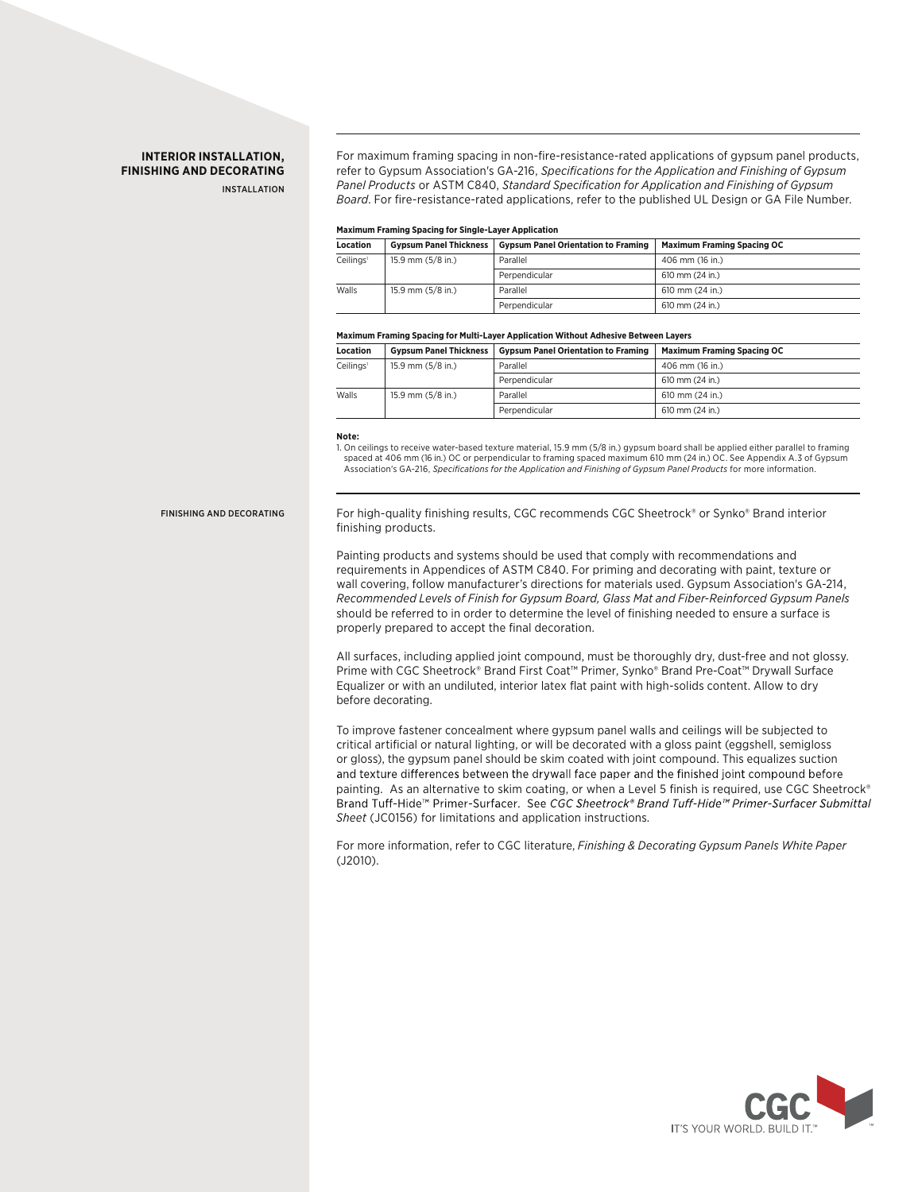# **INTERIOR INSTALLATION, FINISHING AND DECORATING**

INSTALLATION

For maximum framing spacing in non-fire-resistance-rated applications of gypsum panel products, refer to Gypsum Association's GA-216, *Specifications for the Application and Finishing of Gypsum Panel Products* or ASTM C840, *Standard Specification for Application and Finishing of Gypsum Board*. For fire-resistance-rated applications, refer to the published UL Design or GA File Number.

### **Maximum Framing Spacing for Single-Layer Application**

| <b>Location</b>       | <b>Gypsum Panel Thickness</b> | <b>Gypsum Panel Orientation to Framing</b> | <b>Maximum Framing Spacing OC</b> |
|-----------------------|-------------------------------|--------------------------------------------|-----------------------------------|
| Ceilings <sup>1</sup> | 15.9 mm (5/8 in.)             | Parallel                                   | 406 mm (16 in.)                   |
|                       |                               | Perpendicular                              | 610 mm (24 in.)                   |
| Walls                 | 15.9 mm (5/8 in.)             | Parallel                                   | 610 mm (24 in.)                   |
|                       |                               | Perpendicular                              | 610 mm (24 in.)                   |

#### **Maximum Framing Spacing for Multi-Layer Application Without Adhesive Between Layers**

| Location              | <b>Gypsum Panel Thickness</b> | <b>Gypsum Panel Orientation to Framing</b> | <b>Maximum Framing Spacing OC</b> |
|-----------------------|-------------------------------|--------------------------------------------|-----------------------------------|
| Ceilings <sup>1</sup> | 15.9 mm (5/8 in.)             | Parallel                                   | 406 mm (16 in.)                   |
|                       |                               | Perpendicular                              | 610 mm (24 in.)                   |
| Walls                 | 15.9 mm (5/8 in.)             | Parallel                                   | 610 mm (24 in.)                   |
|                       |                               | Perpendicular                              | $610$ mm $(24$ in.)               |

**Note:**

1. On ceilings to receive water-based texture material, 15.9 mm (5/8 in.) gypsum board shall be applied either parallel to framing spaced at 406 mm (16 in.) OC or perpendicular to framing spaced maximum 610 mm (24 in.) OC. See Appendix A.3 of Gypsum Association's GA-216, *Specifications for the Application and Finishing of Gypsum Panel Products* for more information.

FINISHING AND DECORATING

For high-quality finishing results, CGC recommends CGC Sheetrock® or Synko® Brand interior finishing products.

Painting products and systems should be used that comply with recommendations and requirements in Appendices of ASTM C840. For priming and decorating with paint, texture or wall covering, follow manufacturer's directions for materials used. Gypsum Association's GA-214, *Recommended Levels of Finish for Gypsum Board, Glass Mat and Fiber-Reinforced Gypsum Panels* should be referred to in order to determine the level of finishing needed to ensure a surface is properly prepared to accept the final decoration.

All surfaces, including applied joint compound, must be thoroughly dry, dust-free and not glossy. Prime with CGC Sheetrock® Brand First Coat™ Primer, Synko® Brand Pre-Coat™ Drywall Surface Equalizer or with an undiluted, interior latex flat paint with high-solids content. Allow to dry before decorating.

To improve fastener concealment where gypsum panel walls and ceilings will be subjected to critical artificial or natural lighting, or will be decorated with a gloss paint (eggshell, semigloss or gloss), the gypsum panel should be skim coated with joint compound. This equalizes suction and texture differences between the drywall face paper and the finished joint compound before painting. As an alternative to skim coating, or when a Level 5 finish is required, use CGC Sheetrock®<br>Brand Tuff-Hide™ Primer-Surfacer. See CGC Sheetrock® Brand Tuff-Hide™ Primer-Surfacer Submittal *Sheet* (JC0156) for limitations and application instructions.

For more information, refer to CGC literature, *Finishing & Decorating Gypsum Panels White Paper* (J2010).